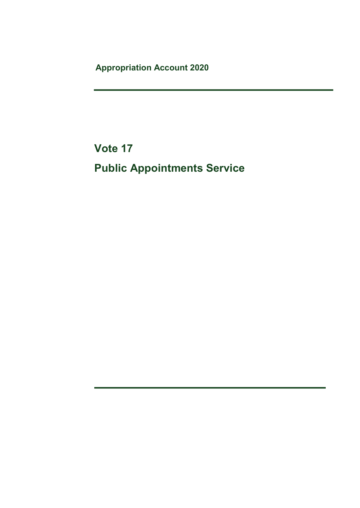Appropriation Account 2020

Vote 17 Public Appointments Service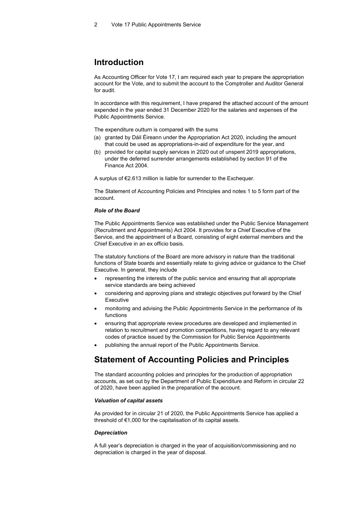# Introduction

As Accounting Officer for Vote 17, I am required each year to prepare the appropriation account for the Vote, and to submit the account to the Comptroller and Auditor General for audit.

In accordance with this requirement, I have prepared the attached account of the amount expended in the year ended 31 December 2020 for the salaries and expenses of the Public Appointments Service.

The expenditure outturn is compared with the sums

- (a) granted by Dáil Éireann under the Appropriation Act 2020, including the amount that could be used as appropriations-in-aid of expenditure for the year, and
- (b) provided for capital supply services in 2020 out of unspent 2019 appropriations, under the deferred surrender arrangements established by section 91 of the Finance Act 2004.

A surplus of €2.613 million is liable for surrender to the Exchequer.

The Statement of Accounting Policies and Principles and notes 1 to 5 form part of the account.

### Role of the Board

The Public Appointments Service was established under the Public Service Management (Recruitment and Appointments) Act 2004. It provides for a Chief Executive of the Service, and the appointment of a Board, consisting of eight external members and the Chief Executive in an ex officio basis.

The statutory functions of the Board are more advisory in nature than the traditional functions of State boards and essentially relate to giving advice or guidance to the Chief Executive. In general, they include

- representing the interests of the public service and ensuring that all appropriate service standards are being achieved
- considering and approving plans and strategic objectives put forward by the Chief Executive
- monitoring and advising the Public Appointments Service in the performance of its functions
- ensuring that appropriate review procedures are developed and implemented in relation to recruitment and promotion competitions, having regard to any relevant codes of practice issued by the Commission for Public Service Appointments
- publishing the annual report of the Public Appointments Service.

# Statement of Accounting Policies and Principles

The standard accounting policies and principles for the production of appropriation accounts, as set out by the Department of Public Expenditure and Reform in circular 22 of 2020, have been applied in the preparation of the account.

### Valuation of capital assets

As provided for in circular 21 of 2020, the Public Appointments Service has applied a threshold of €1,000 for the capitalisation of its capital assets.

### **Depreciation**

A full year's depreciation is charged in the year of acquisition/commissioning and no depreciation is charged in the year of disposal.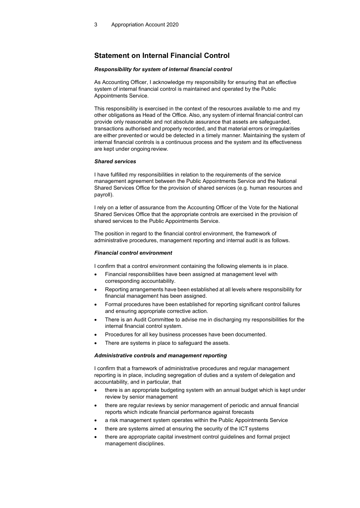# Statement on Internal Financial Control

### Responsibility for system of internal financial control

As Accounting Officer, I acknowledge my responsibility for ensuring that an effective system of internal financial control is maintained and operated by the Public Appointments Service.

This responsibility is exercised in the context of the resources available to me and my other obligations as Head of the Office. Also, any system of internal financial control can provide only reasonable and not absolute assurance that assets are safeguarded, transactions authorised and properly recorded, and that material errors or irregularities are either prevented or would be detected in a timely manner. Maintaining the system of internal financial controls is a continuous process and the system and its effectiveness are kept under ongoing review.

### Shared services

I have fulfilled my responsibilities in relation to the requirements of the service management agreement between the Public Appointments Service and the National Shared Services Office for the provision of shared services (e.g. human resources and payroll).

I rely on a letter of assurance from the Accounting Officer of the Vote for the National Shared Services Office that the appropriate controls are exercised in the provision of shared services to the Public Appointments Service.

The position in regard to the financial control environment, the framework of administrative procedures, management reporting and internal audit is as follows.

### Financial control environment

I confirm that a control environment containing the following elements is in place.

- Financial responsibilities have been assigned at management level with corresponding accountability.
- Reporting arrangements have been established at all levels where responsibility for financial management has been assigned.
- Formal procedures have been established for reporting significant control failures and ensuring appropriate corrective action.
- There is an Audit Committee to advise me in discharging my responsibilities for the internal financial control system.
- Procedures for all key business processes have been documented.
- There are systems in place to safeguard the assets.

### Administrative controls and management reporting

I confirm that a framework of administrative procedures and regular management reporting is in place, including segregation of duties and a system of delegation and accountability, and in particular, that

- there is an appropriate budgeting system with an annual budget which is kept under review by senior management
- there are regular reviews by senior management of periodic and annual financial reports which indicate financial performance against forecasts
- a risk management system operates within the Public Appointments Service
- there are systems aimed at ensuring the security of the ICT systems
- there are appropriate capital investment control guidelines and formal project management disciplines.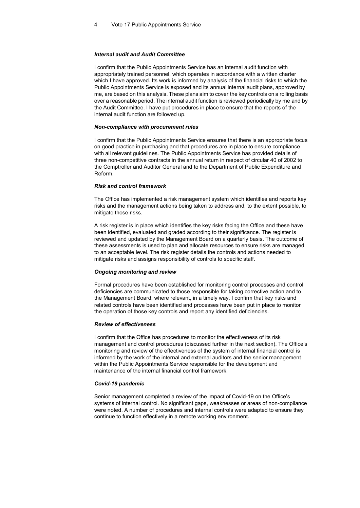### Internal audit and Audit Committee

I confirm that the Public Appointments Service has an internal audit function with appropriately trained personnel, which operates in accordance with a written charter which I have approved. Its work is informed by analysis of the financial risks to which the Public Appointments Service is exposed and its annual internal audit plans, approved by me, are based on this analysis. These plans aim to cover the key controls on a rolling basis over a reasonable period. The internal audit function is reviewed periodically by me and by the Audit Committee. I have put procedures in place to ensure that the reports of the internal audit function are followed up.

#### Non-compliance with procurement rules

I confirm that the Public Appointments Service ensures that there is an appropriate focus on good practice in purchasing and that procedures are in place to ensure compliance with all relevant guidelines. The Public Appointments Service has provided details of three non-competitive contracts in the annual return in respect of circular 40 of 2002 to the Comptroller and Auditor General and to the Department of Public Expenditure and Reform.

#### Risk and control framework

The Office has implemented a risk management system which identifies and reports key risks and the management actions being taken to address and, to the extent possible, to mitigate those risks.

A risk register is in place which identifies the key risks facing the Office and these have been identified, evaluated and graded according to their significance. The register is reviewed and updated by the Management Board on a quarterly basis. The outcome of these assessments is used to plan and allocate resources to ensure risks are managed to an acceptable level. The risk register details the controls and actions needed to mitigate risks and assigns responsibility of controls to specific staff.

### Ongoing monitoring and review

Formal procedures have been established for monitoring control processes and control deficiencies are communicated to those responsible for taking corrective action and to the Management Board, where relevant, in a timely way. I confirm that key risks and related controls have been identified and processes have been put in place to monitor the operation of those key controls and report any identified deficiencies.

#### Review of effectiveness

I confirm that the Office has procedures to monitor the effectiveness of its risk management and control procedures (discussed further in the next section). The Office's monitoring and review of the effectiveness of the system of internal financial control is informed by the work of the internal and external auditors and the senior management within the Public Appointments Service responsible for the development and maintenance of the internal financial control framework.

#### Covid-19 pandemic

Senior management completed a review of the impact of Covid-19 on the Office's systems of internal control. No significant gaps, weaknesses or areas of non-compliance were noted. A number of procedures and internal controls were adapted to ensure they continue to function effectively in a remote working environment.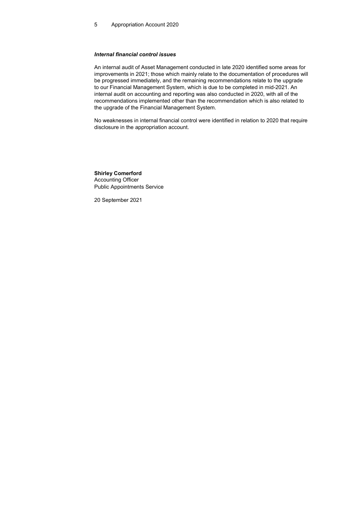### Internal financial control issues

An internal audit of Asset Management conducted in late 2020 identified some areas for improvements in 2021; those which mainly relate to the documentation of procedures will be progressed immediately, and the remaining recommendations relate to the upgrade to our Financial Management System, which is due to be completed in mid-2021. An internal audit on accounting and reporting was also conducted in 2020, with all of the recommendations implemented other than the recommendation which is also related to the upgrade of the Financial Management System.

No weaknesses in internal financial control were identified in relation to 2020 that require disclosure in the appropriation account.

Shirley Comerford Accounting Officer Public Appointments Service

20 September 2021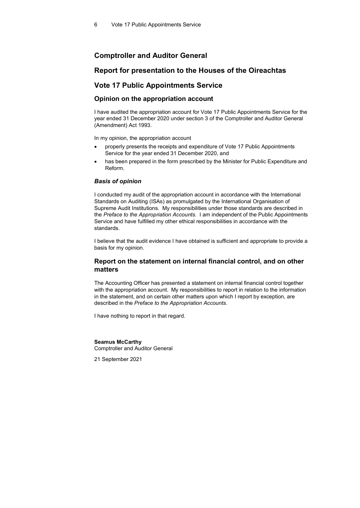## Comptroller and Auditor General

### Report for presentation to the Houses of the Oireachtas

### Vote 17 Public Appointments Service

### Opinion on the appropriation account

I have audited the appropriation account for Vote 17 Public Appointments Service for the year ended 31 December 2020 under section 3 of the Comptroller and Auditor General (Amendment) Act 1993.

In my opinion, the appropriation account

- properly presents the receipts and expenditure of Vote 17 Public Appointments Service for the year ended 31 December 2020, and
- has been prepared in the form prescribed by the Minister for Public Expenditure and Reform.

### Basis of opinion

I conducted my audit of the appropriation account in accordance with the International Standards on Auditing (ISAs) as promulgated by the International Organisation of Supreme Audit Institutions. My responsibilities under those standards are described in the Preface to the Appropriation Accounts. I am independent of the Public Appointments Service and have fulfilled my other ethical responsibilities in accordance with the standards.

I believe that the audit evidence I have obtained is sufficient and appropriate to provide a basis for my opinion.

### Report on the statement on internal financial control, and on other matters

The Accounting Officer has presented a statement on internal financial control together with the appropriation account. My responsibilities to report in relation to the information in the statement, and on certain other matters upon which I report by exception, are described in the Preface to the Appropriation Accounts.

I have nothing to report in that regard.

#### Seamus McCarthy

Comptroller and Auditor General

21 September 2021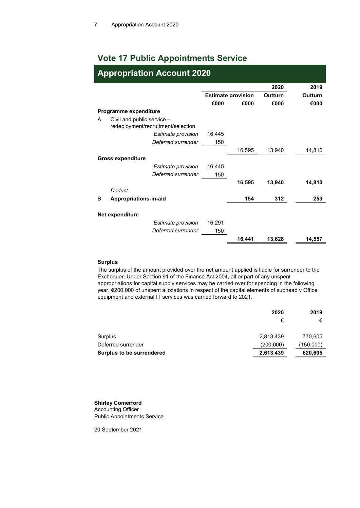# Vote 17 Public Appointments Service

|   | <b>Appropriation Account 2020</b>                                |        |                           |         |         |  |
|---|------------------------------------------------------------------|--------|---------------------------|---------|---------|--|
|   |                                                                  |        |                           | 2020    | 2019    |  |
|   |                                                                  |        | <b>Estimate provision</b> | Outturn | Outturn |  |
|   |                                                                  | €000   | €000                      | €000    | €000    |  |
|   | Programme expenditure                                            |        |                           |         |         |  |
| A | Civil and public service -<br>redeployment/recruitment/selection |        |                           |         |         |  |
|   | Estimate provision                                               | 16,445 |                           |         |         |  |
|   | Deferred surrender                                               | 150    |                           |         |         |  |
|   |                                                                  |        | 16,595                    | 13,940  | 14,810  |  |
|   | <b>Gross expenditure</b>                                         |        |                           |         |         |  |
|   | Estimate provision                                               | 16,445 |                           |         |         |  |
|   | Deferred surrender                                               | 150    |                           |         |         |  |
|   |                                                                  |        | 16,595                    | 13,940  | 14,810  |  |
|   | Deduct                                                           |        |                           |         |         |  |
| B | Appropriations-in-aid                                            |        | 154                       | 312     | 253     |  |
|   |                                                                  |        |                           |         |         |  |
|   | Net expenditure                                                  |        |                           |         |         |  |
|   | Estimate provision                                               | 16,291 |                           |         |         |  |
|   | Deferred surrender                                               | 150    |                           |         |         |  |
|   |                                                                  |        | 16,441                    | 13,628  | 14,557  |  |

### Surplus

The surplus of the amount provided over the net amount applied is liable for surrender to the Exchequer. Under Section 91 of the Finance Act 2004, all or part of any unspent appropriations for capital supply services may be carried over for spending in the following year. €200,000 of unspent allocations in respect of the capital elements of subhead v Office equipment and external IT services was carried forward to 2021.

|                           | 2020      | 2019      |
|---------------------------|-----------|-----------|
|                           | €         | €         |
| Surplus                   | 2,813,439 | 770,605   |
| Deferred surrender        | (200,000) | (150,000) |
| Surplus to be surrendered | 2,613,439 | 620,605   |

### Shirley Comerford Accounting Officer Public Appointments Service

20 September 2021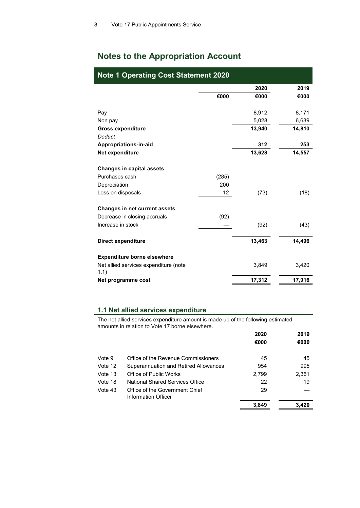# Notes to the Appropriation Account

| <b>Note 1 Operating Cost Statement 2020</b>   |       |        |        |  |
|-----------------------------------------------|-------|--------|--------|--|
|                                               |       | 2020   | 2019   |  |
|                                               | €000  | €000   | €000   |  |
| Pay                                           |       | 8,912  | 8,171  |  |
| Non pay                                       |       | 5,028  | 6,639  |  |
| <b>Gross expenditure</b>                      |       | 13,940 | 14,810 |  |
| <b>Deduct</b>                                 |       |        |        |  |
| Appropriations-in-aid                         |       | 312    | 253    |  |
| Net expenditure                               |       | 13,628 | 14,557 |  |
|                                               |       |        |        |  |
| <b>Changes in capital assets</b>              |       |        |        |  |
| Purchases cash                                | (285) |        |        |  |
| Depreciation                                  | 200   |        |        |  |
| Loss on disposals                             | 12    | (73)   | (18)   |  |
| <b>Changes in net current assets</b>          |       |        |        |  |
| Decrease in closing accruals                  | (92)  |        |        |  |
| Increase in stock                             |       | (92)   | (43)   |  |
| Direct expenditure                            |       | 13,463 | 14,496 |  |
| <b>Expenditure borne elsewhere</b>            |       |        |        |  |
| Net allied services expenditure (note<br>1.1) |       | 3,849  | 3,420  |  |
| Net programme cost                            |       | 17,312 | 17,916 |  |

### 1.1 Net allied services expenditure

The net allied services expenditure amount is made up of the following estimated amounts in relation to Vote 17 borne elsewhere.

|         |                                                       | 2020  | 2019  |
|---------|-------------------------------------------------------|-------|-------|
|         |                                                       | €000  | €000  |
| Vote 9  | Office of the Revenue Commissioners                   | 45    | 45    |
| Vote 12 | Superannuation and Retired Allowances                 | 954   | 995   |
| Vote 13 | Office of Public Works                                | 2,799 | 2,361 |
| Vote 18 | National Shared Services Office                       | 22    | 19    |
| Vote 43 | Office of the Government Chief<br>Information Officer | 29    |       |
|         |                                                       | 3.849 | 3.420 |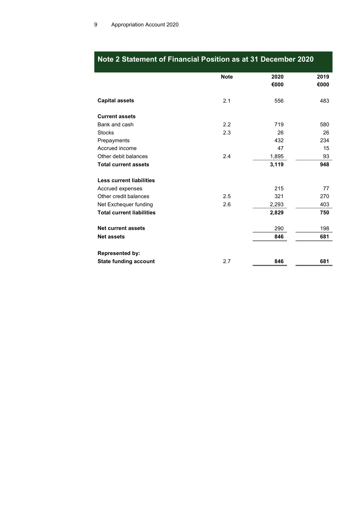|                                  | <b>Note</b> | 2020  | 2019 |
|----------------------------------|-------------|-------|------|
|                                  |             | €000  | €000 |
|                                  |             |       |      |
| <b>Capital assets</b>            | 2.1         | 556   | 483  |
|                                  |             |       |      |
| <b>Current assets</b>            |             |       |      |
| Bank and cash                    | 2.2         | 719   | 580  |
| <b>Stocks</b>                    | 2.3         | 26    | 26   |
| Prepayments                      |             | 432   | 234  |
| Accrued income                   |             | 47    | 15   |
| Other debit balances             | 2.4         | 1,895 | 93   |
| <b>Total current assets</b>      |             | 3,119 | 948  |
|                                  |             |       |      |
| <b>Less current liabilities</b>  |             |       |      |
| Accrued expenses                 |             | 215   | 77   |
| Other credit balances            | 2.5         | 321   | 270  |
| Net Exchequer funding            | 2.6         | 2,293 | 403  |
| <b>Total current liabilities</b> |             | 2,829 | 750  |
|                                  |             |       |      |
| <b>Net current assets</b>        |             | 290   | 198  |
| <b>Net assets</b>                |             | 846   | 681  |
| <b>Represented by:</b>           |             |       |      |
| <b>State funding account</b>     | 2.7         | 846   | 681  |

# Note 2 Statement of Financial Position as at 31 December 2020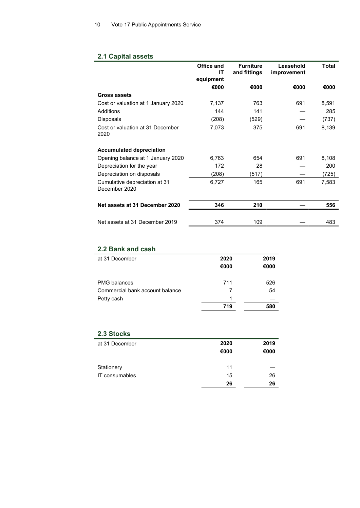# 2.1 Capital assets

|                                                | Office and<br>IΤ | <b>Furniture</b><br>and fittings | Leasehold<br>improvement | <b>Total</b> |
|------------------------------------------------|------------------|----------------------------------|--------------------------|--------------|
|                                                | equipment        |                                  |                          |              |
|                                                | €000             | €000                             | €000                     | €000         |
| Gross assets                                   |                  |                                  |                          |              |
| Cost or valuation at 1 January 2020            | 7,137            | 763                              | 691                      | 8,591        |
| Additions                                      | 144              | 141                              |                          | 285          |
| Disposals                                      | (208)            | (529)                            |                          | (737)        |
| Cost or valuation at 31 December<br>2020       | 7,073            | 375                              | 691                      | 8,139        |
| <b>Accumulated depreciation</b>                |                  |                                  |                          |              |
| Opening balance at 1 January 2020              | 6,763            | 654                              | 691                      | 8,108        |
| Depreciation for the year                      | 172              | 28                               |                          | 200          |
| Depreciation on disposals                      | (208)            | (517)                            |                          | (725)        |
| Cumulative depreciation at 31<br>December 2020 | 6,727            | 165                              | 691                      | 7,583        |
| Net assets at 31 December 2020                 | 346              | 210                              |                          | 556          |
| Net assets at 31 December 2019                 | 374              | 109                              |                          | 483          |

# 2.2 Bank and cash

| at 31 December                  | 2020 | 2019 |
|---------------------------------|------|------|
|                                 | €000 | €000 |
|                                 |      |      |
| <b>PMG</b> balances             | 711  | 526  |
| Commercial bank account balance |      | 54   |
| Petty cash                      |      |      |
|                                 | 719  | 580  |

# 2.3 Stocks

| at 31 December | 2020<br>€000 | 2019<br>€000 |
|----------------|--------------|--------------|
| Stationery     | 11           |              |
| IT consumables | 15           | 26           |
|                | 26           | 26           |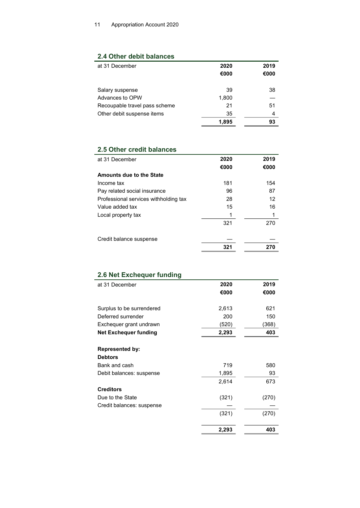# 2.4 Other debit balances

| at 31 December                | 2020<br>€000 | 2019<br>€000 |
|-------------------------------|--------------|--------------|
| Salary suspense               | 39           | 38           |
| Advances to OPW               | 1,800        |              |
| Recoupable travel pass scheme | 21           | 51           |
| Other debit suspense items    | 35           | 4            |
|                               | 1.895        | 93           |

# 2.5 Other credit balances

| at 31 December                        | 2020 | 2019 |
|---------------------------------------|------|------|
|                                       | €000 | €000 |
| <b>Amounts due to the State</b>       |      |      |
| Income tax                            | 181  | 154  |
| Pay related social insurance          | 96   | 87   |
| Professional services withholding tax | 28   | 12   |
| Value added tax                       | 15   | 16   |
| Local property tax                    |      |      |
|                                       | 321  | 270  |
| Credit balance suspense               |      |      |
|                                       | 321  | 270  |
|                                       |      |      |

| 2.6 Net Exchequer funding    |       |       |
|------------------------------|-------|-------|
| at 31 December               | 2020  | 2019  |
|                              | €000  | €000  |
| Surplus to be surrendered    | 2,613 | 621   |
| Deferred surrender           | 200   | 150   |
| Exchequer grant undrawn      | (520) | (368) |
| <b>Net Exchequer funding</b> | 2,293 | 403   |
|                              |       |       |
| <b>Represented by:</b>       |       |       |
| <b>Debtors</b>               |       |       |
| Bank and cash                | 719   | 580   |
| Debit balances: suspense     | 1,895 | 93    |
|                              | 2,614 | 673   |
| <b>Creditors</b>             |       |       |
| Due to the State             | (321) | (270) |
| Credit balances: suspense    |       |       |
|                              | (321) | (270) |
|                              | 2,293 | 403   |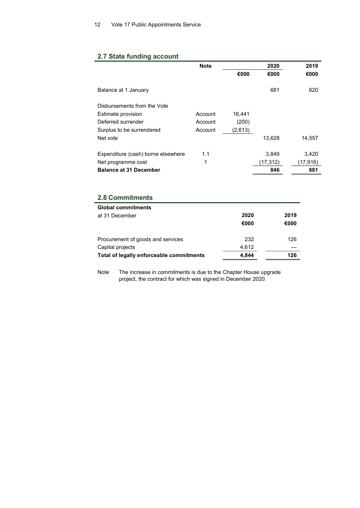## 2.7 State funding account

|                                    | <b>Note</b> |         | 2020     | 2019     |
|------------------------------------|-------------|---------|----------|----------|
|                                    |             | €000    | €000     | €000     |
|                                    |             |         |          |          |
| Balance at 1 January               |             |         | 681      | 620      |
|                                    |             |         |          |          |
| Disbursements from the Vote        |             |         |          |          |
| Estimate provision                 | Account     | 16.441  |          |          |
| Deferred surrender                 | Account     | (200)   |          |          |
| Surplus to be surrendered          | Account     | (2,613) |          |          |
| Net vote                           |             |         | 13,628   | 14,557   |
|                                    |             |         |          |          |
| Expenditure (cash) borne elsewhere | 1.1         |         | 3,849    | 3,420    |
| Net programme cost                 | 1           |         | (17,312) | (17,916) |
| <b>Balance at 31 December</b>      |             |         | 846      | 681      |

# 2.8 Commitments

| <b>Global commitments</b>                |       |      |
|------------------------------------------|-------|------|
| at 31 December                           | 2020  | 2019 |
|                                          | €000  | €000 |
|                                          |       |      |
| Procurement of goods and services        | 232   | 126  |
| Capital projects                         | 4,612 |      |
| Total of legally enforceable commitments | 4,844 | 126  |

Note The increase in commitments is due to the Chapter House upgrade project, the contract for which was signed in December 2020.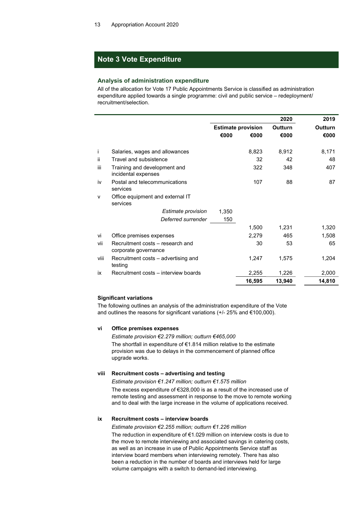# Note 3 Vote Expenditure

#### Analysis of administration expenditure

All of the allocation for Vote 17 Public Appointments Service is classified as administration expenditure applied towards a single programme: civil and public service – redeployment/ recruitment/selection.

|      |                                                          |                           |        | 2020    | 2019    |
|------|----------------------------------------------------------|---------------------------|--------|---------|---------|
|      |                                                          | <b>Estimate provision</b> |        | Outturn | Outturn |
|      |                                                          | €000                      | €000   | €000    | €000    |
|      |                                                          |                           |        |         |         |
| Ť    | Salaries, wages and allowances                           |                           | 8,823  | 8,912   | 8,171   |
| ii.  | Travel and subsistence                                   |                           | 32     | 42      | 48      |
| iii  | Training and development and<br>incidental expenses      |                           | 322    | 348     | 407     |
| iv   | Postal and telecommunications<br>services                |                           | 107    | 88      | 87      |
| v    | Office equipment and external IT<br>services             |                           |        |         |         |
|      | Estimate provision                                       | 1,350                     |        |         |         |
|      | Deferred surrender                                       | 150                       |        |         |         |
|      |                                                          |                           | 1,500  | 1,231   | 1,320   |
| vi   | Office premises expenses                                 |                           | 2,279  | 465     | 1,508   |
| vii  | Recruitment costs - research and<br>corporate governance |                           | 30     | 53      | 65      |
| viii | Recruitment costs – advertising and<br>testing           |                           | 1,247  | 1,575   | 1,204   |
| İХ.  | Recruitment costs - interview boards                     |                           | 2,255  | 1,226   | 2,000   |
|      |                                                          |                           | 16,595 | 13,940  | 14,810  |

### Significant variations

The following outlines an analysis of the administration expenditure of the Vote and outlines the reasons for significant variations (+/- 25% and €100,000).

### vi Office premises expenses

Estimate provision €2.279 million; outturn €465,000 The shortfall in expenditure of €1.814 million relative to the estimate provision was due to delays in the commencement of planned office upgrade works.

### viii Recruitment costs – advertising and testing

Estimate provision €1.247 million; outturn €1.575 million

 The excess expenditure of €328,000 is as a result of the increased use of remote testing and assessment in response to the move to remote working and to deal with the large increase in the volume of applications received.

### ix Recruitment costs – interview boards

Estimate provision €2.255 million; outturn €1.226 million

 The reduction in expenditure of €1.029 million on interview costs is due to the move to remote interviewing and associated savings in catering costs, as well as an increase in use of Public Appointments Service staff as interview board members when interviewing remotely. There has also been a reduction in the number of boards and interviews held for large volume campaigns with a switch to demand-led interviewing.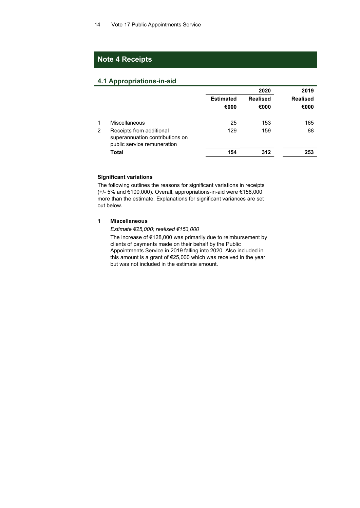## Note 4 Receipts

### 4.1 Appropriations-in-aid

|   |                                                                                            |                          | 2020                    | 2019                    |
|---|--------------------------------------------------------------------------------------------|--------------------------|-------------------------|-------------------------|
|   |                                                                                            | <b>Estimated</b><br>€000 | <b>Realised</b><br>€000 | <b>Realised</b><br>€000 |
|   | Miscellaneous                                                                              | 25                       | 153                     | 165                     |
| 2 | Receipts from additional<br>superannuation contributions on<br>public service remuneration | 129                      | 159                     | 88                      |
|   | Total                                                                                      | 154                      | 312                     | 253                     |

### Significant variations

The following outlines the reasons for significant variations in receipts (+/- 5% and €100,000). Overall, appropriations-in-aid were €158,000 more than the estimate. Explanations for significant variances are set out below.

### 1 Miscellaneous

Estimate €25,000; realised €153,000

 The increase of €128,000 was primarily due to reimbursement by clients of payments made on their behalf by the Public Appointments Service in 2019 falling into 2020. Also included in this amount is a grant of €25,000 which was received in the year but was not included in the estimate amount.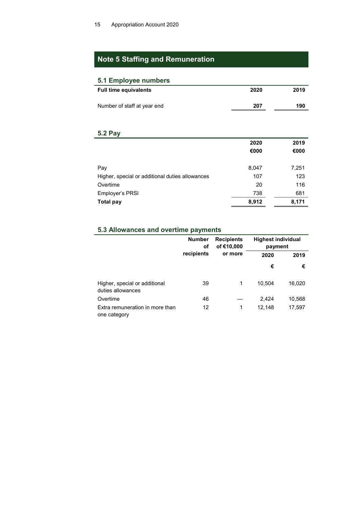# Note 5 Staffing and Remuneration

### 5.1 Employee numbers

| <b>Full time equivalents</b> | 2020 | 2019 |
|------------------------------|------|------|
| Number of staff at year end  | 207  | 190  |

### 5.2 Pay

|                                                 | 2020  | 2019  |
|-------------------------------------------------|-------|-------|
|                                                 | €000  | €000  |
|                                                 |       |       |
| Pay                                             | 8,047 | 7,251 |
| Higher, special or additional duties allowances | 107   | 123   |
| Overtime                                        | 20    | 116   |
| Employer's PRSI                                 | 738   | 681   |
| <b>Total pay</b>                                | 8,912 | 8,171 |

# 5.3 Allowances and overtime payments

|                                                    | <b>Number</b><br>оf<br>recipients | <b>Recipients</b><br>of €10,000 |        | <b>Highest individual</b><br>payment |  |
|----------------------------------------------------|-----------------------------------|---------------------------------|--------|--------------------------------------|--|
|                                                    |                                   | or more                         | 2020   | 2019                                 |  |
|                                                    |                                   |                                 | €      | €                                    |  |
| Higher, special or additional<br>duties allowances | 39                                | 1                               | 10.504 | 16,020                               |  |
| Overtime                                           | 46                                |                                 | 2,424  | 10,568                               |  |
| Extra remuneration in more than<br>one category    | 12                                | 1                               | 12,148 | 17,597                               |  |